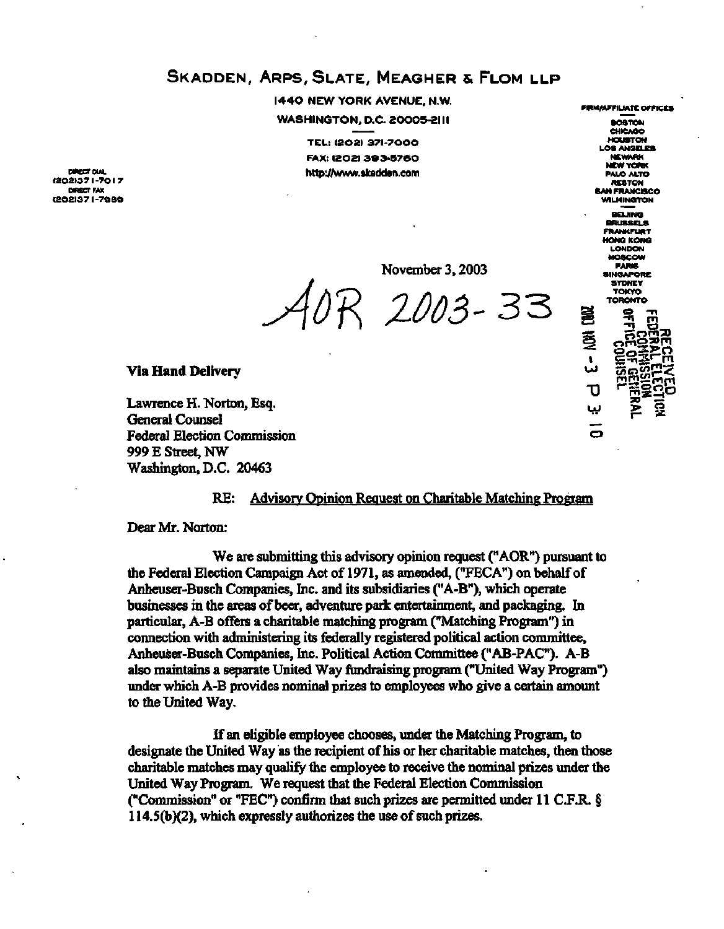# **SKADDEN, ARPS, SLATE, MEAGHER & FLOM LLP**

**1440 NEW YORK AVENUE, N.W. WASHINGTON, D.C. 20005-2III** 

**TEL : (202 ) 371-700 0 FAX : 1202 1 3 9 3-57 6 O DIRECT DIAL DIRECT DIAL** *DIRECT DIAL* 

**(202)3 7 I -7 0 I 7 DIRECT PAX (202)3 7 I -798 9**  **FIRM/AFFILIATE OFFICES BOSTON CHICAGO HOUSTON LOS ANGELES NEWARK NEW YORK PALO ALTO RESTON SHERANCISCO WILMINGTON BEIJING BRUSSELS FRANKFURT HONG KONG LONDON MOSCOW PARIS SINGAPORE SYDNEY TOKYO TORONTO**  $\vec{U}$ ببا

November 3,2003

*B*<br>*A ZOO3-* 33

#### **Via Hand Delivery**

Lawrence H. Norton, Esq. General Counsel Federal Election Commission 999 E Street, NW Washington, D.C. 20463

### RE: Advisory Opinion Request on Charitable Matching Program

Dear Mr. Norton:

We are submitting this advisory opinion request ("AOR") pursuant to the Federal Election Campaign Act of 1971, as amended, ("FECA") on behalf of Anheuser-Busch Companies, Inc. and its subsidiaries ("A-B"), which operate businesses in the areas of beer, adventure park entertainment, and packaging. In particular, A-B offers a charitable matching program ("Matching Program") in connection with administering its federally registered political action committee, Anheuser-Busch Companies, Inc. Political Action Committee ("AB-PAC"). A-B also maintains a separate United Way fundraising program ("United Way Program") under which A-B provides nominal prizes to employees who give a certain amount to the United Way.

If an eligible employee chooses, under the Matching Program, to designate the United Way as the recipient of his or her charitable matches, then those charitable matches may qualify the employee to receive the nominal prizes under the United Way Program. We request that the Federal Election Commission ("Commission" or "FEC") confirm that such prizes are permitted under 11 C.F.R. § 114.5(b)(2), which expressly authorizes the use of such prizes.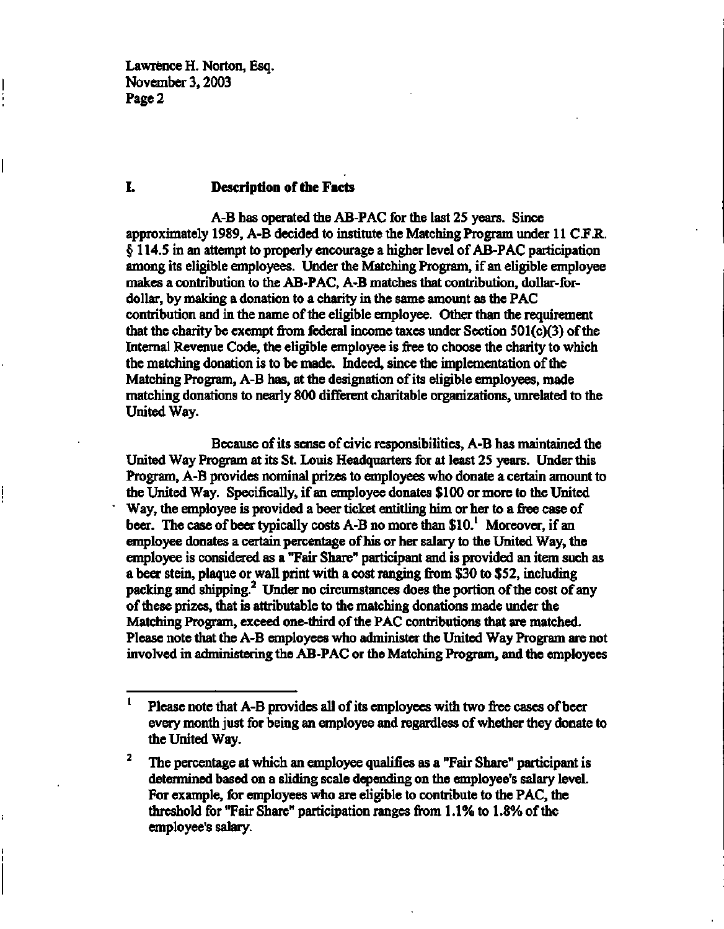#### **I. Description of the Facts**

A-B has operated the AB-PAC for the last 25 years. Since approximately 1989, A-B decided to institute the Matching Program under 11 C.F.R. § 114.5 in an attempt to properly encourage a higher level of AB-PAC participation among its eligible employees. Under the Matching Program, if an eligible employee makes a contribution to the AB-PAC, A-B matches that contribution, dollar-fordollar, by making a donation to a charity in the same amount as the PAC contribution and in the name of the eligible employee. Other than the requirement that the charity be exempt from federal income taxes under Section 501(c)(3) of the Internal Revenue Code, the eligible employee is free to choose the charity to which the matching donation is to be made. Indeed, since the implementation of the Matching Program, A-B has, at the designation of its eligible employees, made matching donations to nearly 800 different charitable organizations, unrelated to the United Way.

Because of its sense of civic responsibilities, A-B has maintained the United Way Program at its St. Louis Headquarters for at least 25 years. Under this Program, A-B provides nominal prizes to employees who donate a certain amount to the United Way. Specifically, if an employee donates \$100 or more to the United Way, the employee is provided a beer ticket entitling him or her to a free case of beer. The case of beer typically costs A-B no more than \$10.<sup>1</sup> Moreover, if an employee donates a certain percentage of his or her salary to the United Way, the employee is considered as a "Fair Share" participant and is provided an item such as a beer stein, plaque or wall print with a cost ranging from \$30 to \$52, including packing and shipping.<sup>2</sup> Under no circumstances does the portion of the cost of any of these prizes, that is attributable to the matching donations made under the Matching Program, exceed one-third of the PAC contributions that are matched. Please note that the A-B employees who administer the United Way Program are not involved in administering the AB-PAC or the Matching Program, and the employees

 $\mathbf{1}$ Please note that A-B provides all of its employees with two free cases of beer every month just for being an employee and regardless of whether they donate to the United Way.

 $\mathbf{2}$ The percentage at which an employee qualifies as a "Fair Share" participant is determined based on a sliding scale depending on the employee's salary level. For example, for employees who are eligible to contribute to the PAC, the threshold for "Fair Share" participation ranges from 1.1% to 1.8% of the employee's salary.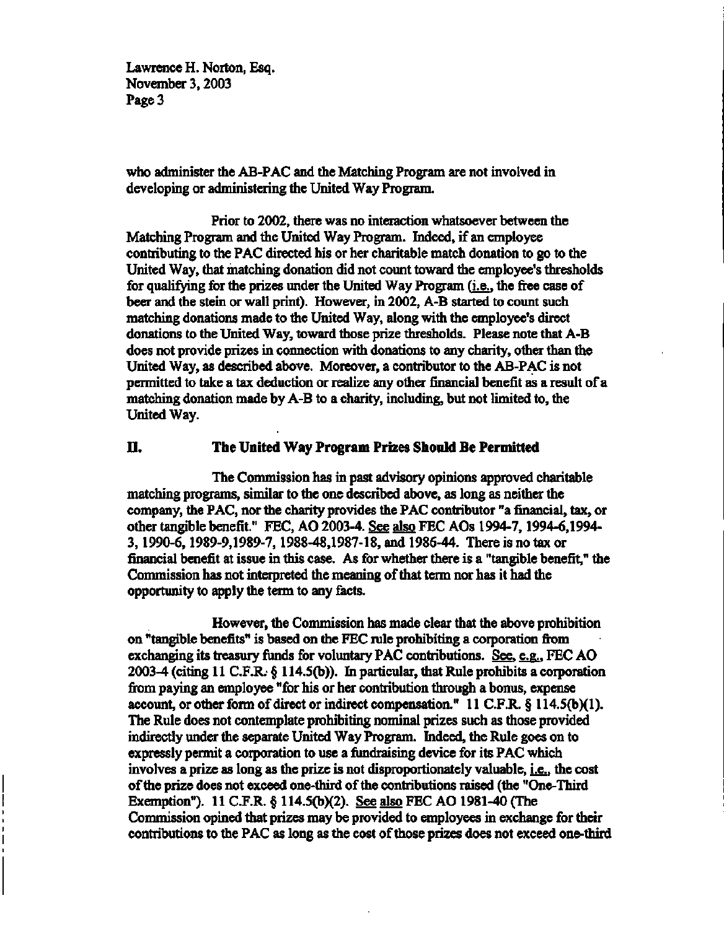who administer the AB-PAC and the Matching Program are not involved in developing or administering the United Way Program.

Prior to 2002, there was no interaction whatsoever between the Matching Program and the United Way Program. Indeed, if an employee contributing to the PAC directed his or her charitable match donation to go to the United Way, that matching donation did not count toward the employee's thresholds for qualifying for the prizes under the United Way Program (i.e.. the free case of beer and the stein or wall print). However, in 2002, A-B started to count such matching donations made to the United Way, along with the employee's direct donations to the United Way, toward those prize thresholds. Please note that A-B does not provide prizes in connection with donations to any charity, other than the United Way, as described above. Moreover, a contributor to the AB-PAC is not permitted to take a tax deduction or realize any other financial benefit as a result of a matching donation made by A-B to a charity, including, but not limited to, the United Way.

## **II. The United Way Program Prizes Should Be Permitted**

The Commission has in past advisory opinions approved charitable matching programs, similar to the one described above, as long as neither the company, the PAC, nor the charity provides the PAC contributor "a financial, tax, or other tangible benefit." FEC, AO 2003-4. See also FEC AOs 1994-7,1994-6,1994- 3,1990-6,1989-9,1989-7,1988-48,1987-18, and 1986-44. There is no tax or financial benefit at issue in this case. As for whether there is a "tangible benefit," the Commission has not interpreted the meaning of that term nor has it had the opportunity to apply the term to any facts.

However, the Commission has made clear that the above prohibition on "tangible benefits" is based on the FEC rule prohibiting a corporation from exchanging its treasury funds for voluntary PAC contributions. See, e.g.. FEC AO 2003-4 (citing 11 C.F.R. § 114.5(b)). In particular, that Rule prohibits a corporation from paying an employee "for his or her contribution through a bonus, expense account, or other form of direct or indirect compensation." 11 C.F.R. § 114.5(b)(1). The Rule does not contemplate prohibiting nominal prizes such as those provided indirectly under the separate United Way Program. Indeed, the Rule goes on to expressly permit a corporation to use a fundraising device for its PAC which involves a prize as long as the prize is not disproportionately valuable,  $i.e.,$  the cost of the prize does not exceed one-third of the contributions raised (the "One-Third Exemption"). 11 C.F.R. § 114.5(b)(2). See also FEC AO 1981-40 (The Commission opined that prizes may be provided to employees in exchange for their contributions to the PAC as long as the cost of those prizes does not exceed one-third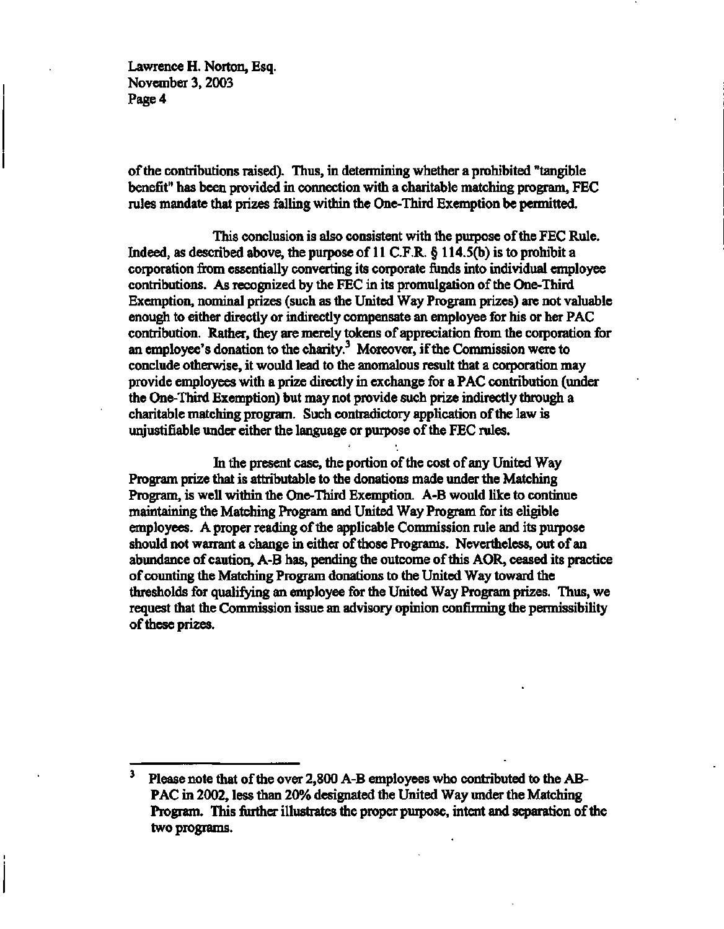**of the contributions raised). Thus, in determining whether a prohibited "tangible benefit" has been provided in connection with a charitable matching program, FEC rules mandate that prizes falling within the One-Third Exemption be permitted.** 

**This conclusion is also consistent with the purpose of the FEC Rule. Indeed, as described above, the purpose of 11 C.F.R. § 114.5(b) is to prohibit a corporation from essentially converting its corporate funds into individual employee contributions. As recognized by the FEC in its promulgation of the One-Third Exemption, nominal prizes (such as the United Way Program prizes) are not valuable enough to either directly or indirectly compensate an employee for his or her PAC contribution. Rather, they are merely tokens of appreciation from the corporation for an employee's donation to the charity.<sup>3</sup> Moreover, if the Commission were to conclude otherwise, it would lead to the anomalous result that a corporation may provide employees with a prize directly in exchange for a PAC contribution (under the One-Third Exemption) but may not provide such prize indirectly through a charitable matching program. Such contradictory application of the law is unjustifiable under either the language or purpose of the FEC rules.** 

**In the present case, the portion of the cost of any United Way Program prize that is attributable to the donations made under the Matching Program, is well within the One-Third Exemption. A-B would like to continue maintaining the Matching Program and United Way Program for its eligible employees. A proper reading of the applicable Commission rule and its purpose should not warrant a change in either of those Programs. Nevertheless, out of an abundance of caution, A-B has, pending the outcome of this AOR, ceased its practice of counting the Matching Program donations to the United Way toward the thresholds for qualifying an employee for the United Way Program prizes. Thus, we request that the Commission issue an advisory opinion confirming the permissibility of these prizes.** 

<sup>3</sup> **Please note that of the over 2,800 A-B employees who contributed to the AB-PAC in 2002, less than 20% designated the United Way under the Matching Program. This further illustrates the proper purpose, intent and separation of the two programs.**